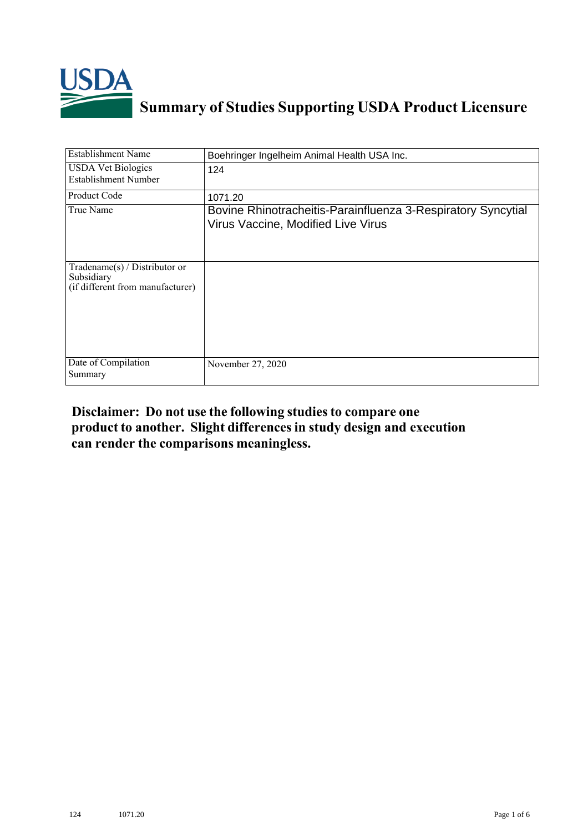

## **Summary of Studies Supporting USDA Product Licensure**

| Establishment Name                                                                 | Boehringer Ingelheim Animal Health USA Inc.                                                        |
|------------------------------------------------------------------------------------|----------------------------------------------------------------------------------------------------|
| <b>USDA Vet Biologics</b><br>Establishment Number                                  | 124                                                                                                |
| Product Code                                                                       | 1071.20                                                                                            |
| True Name                                                                          | Bovine Rhinotracheitis-Parainfluenza 3-Respiratory Syncytial<br>Virus Vaccine, Modified Live Virus |
| Tradename $(s)$ / Distributor or<br>Subsidiary<br>(if different from manufacturer) |                                                                                                    |
| Date of Compilation<br>Summary                                                     | November 27, 2020                                                                                  |

## **Disclaimer: Do not use the following studiesto compare one product to another. Slight differencesin study design and execution can render the comparisons meaningless.**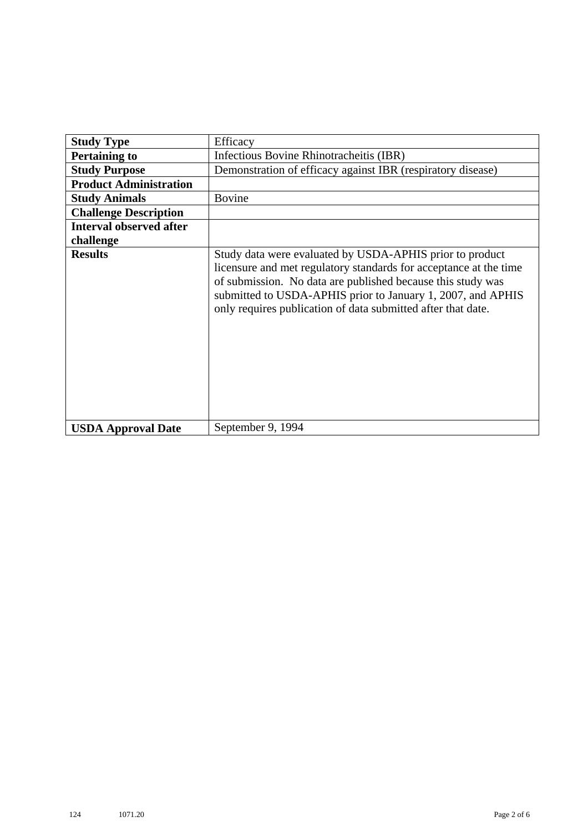| <b>Study Type</b>              | Efficacy                                                                                                                                                                                                                                                                                                                    |
|--------------------------------|-----------------------------------------------------------------------------------------------------------------------------------------------------------------------------------------------------------------------------------------------------------------------------------------------------------------------------|
| <b>Pertaining to</b>           | Infectious Bovine Rhinotracheitis (IBR)                                                                                                                                                                                                                                                                                     |
| <b>Study Purpose</b>           | Demonstration of efficacy against IBR (respiratory disease)                                                                                                                                                                                                                                                                 |
| <b>Product Administration</b>  |                                                                                                                                                                                                                                                                                                                             |
| <b>Study Animals</b>           | <b>Bovine</b>                                                                                                                                                                                                                                                                                                               |
| <b>Challenge Description</b>   |                                                                                                                                                                                                                                                                                                                             |
| <b>Interval observed after</b> |                                                                                                                                                                                                                                                                                                                             |
| challenge                      |                                                                                                                                                                                                                                                                                                                             |
| <b>Results</b>                 | Study data were evaluated by USDA-APHIS prior to product<br>licensure and met regulatory standards for acceptance at the time<br>of submission. No data are published because this study was<br>submitted to USDA-APHIS prior to January 1, 2007, and APHIS<br>only requires publication of data submitted after that date. |
| <b>USDA Approval Date</b>      | September 9, 1994                                                                                                                                                                                                                                                                                                           |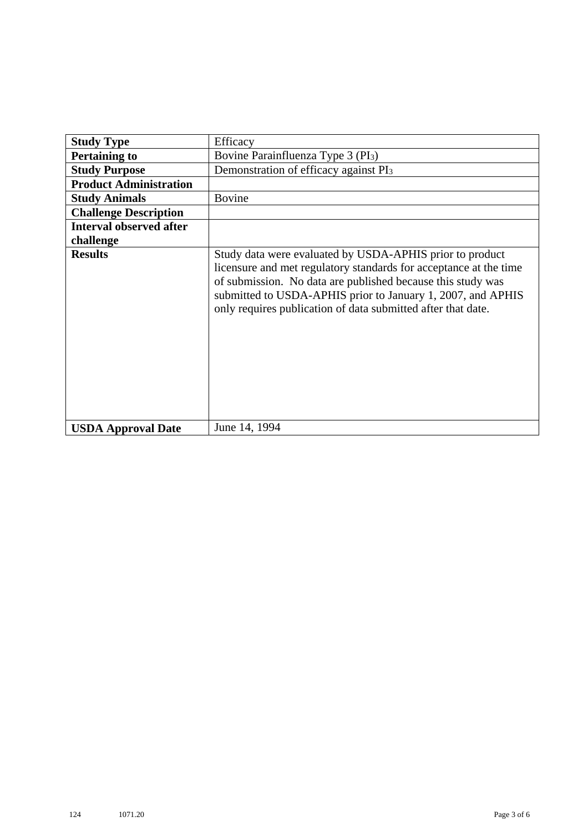| <b>Study Type</b>              | Efficacy                                                                                                                                                                                                                                                                                                                    |
|--------------------------------|-----------------------------------------------------------------------------------------------------------------------------------------------------------------------------------------------------------------------------------------------------------------------------------------------------------------------------|
|                                |                                                                                                                                                                                                                                                                                                                             |
| <b>Pertaining to</b>           | Bovine Parainfluenza Type 3 (PI <sub>3</sub> )                                                                                                                                                                                                                                                                              |
| <b>Study Purpose</b>           | Demonstration of efficacy against PI <sub>3</sub>                                                                                                                                                                                                                                                                           |
| <b>Product Administration</b>  |                                                                                                                                                                                                                                                                                                                             |
| <b>Study Animals</b>           | <b>Bovine</b>                                                                                                                                                                                                                                                                                                               |
| <b>Challenge Description</b>   |                                                                                                                                                                                                                                                                                                                             |
| <b>Interval observed after</b> |                                                                                                                                                                                                                                                                                                                             |
| challenge                      |                                                                                                                                                                                                                                                                                                                             |
| <b>Results</b>                 | Study data were evaluated by USDA-APHIS prior to product<br>licensure and met regulatory standards for acceptance at the time<br>of submission. No data are published because this study was<br>submitted to USDA-APHIS prior to January 1, 2007, and APHIS<br>only requires publication of data submitted after that date. |
| <b>USDA Approval Date</b>      | June 14, 1994                                                                                                                                                                                                                                                                                                               |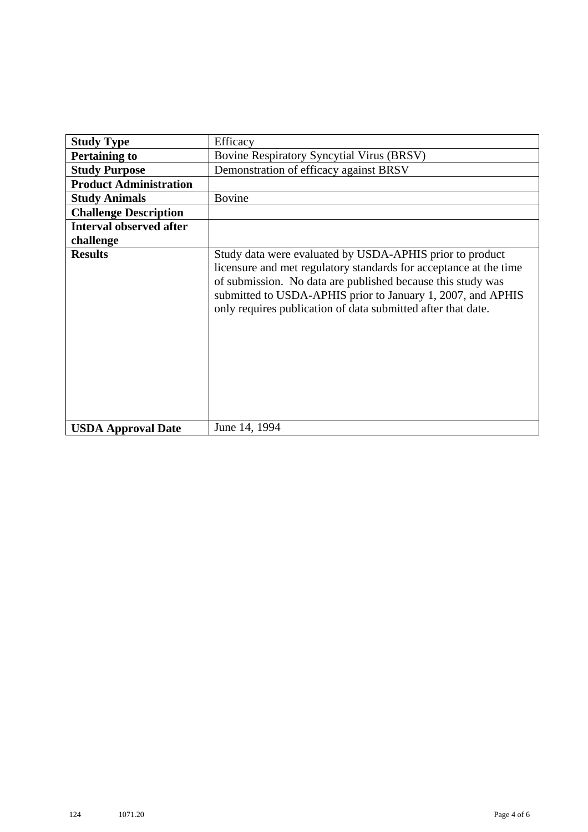| <b>Study Type</b>              | Efficacy                                                                                                                                                                                                                                                                                                                    |
|--------------------------------|-----------------------------------------------------------------------------------------------------------------------------------------------------------------------------------------------------------------------------------------------------------------------------------------------------------------------------|
| <b>Pertaining to</b>           | <b>Bovine Respiratory Syncytial Virus (BRSV)</b>                                                                                                                                                                                                                                                                            |
| <b>Study Purpose</b>           | Demonstration of efficacy against BRSV                                                                                                                                                                                                                                                                                      |
| <b>Product Administration</b>  |                                                                                                                                                                                                                                                                                                                             |
| <b>Study Animals</b>           | <b>Bovine</b>                                                                                                                                                                                                                                                                                                               |
| <b>Challenge Description</b>   |                                                                                                                                                                                                                                                                                                                             |
| <b>Interval observed after</b> |                                                                                                                                                                                                                                                                                                                             |
| challenge                      |                                                                                                                                                                                                                                                                                                                             |
| <b>Results</b>                 | Study data were evaluated by USDA-APHIS prior to product<br>licensure and met regulatory standards for acceptance at the time<br>of submission. No data are published because this study was<br>submitted to USDA-APHIS prior to January 1, 2007, and APHIS<br>only requires publication of data submitted after that date. |
| <b>USDA Approval Date</b>      | June 14, 1994                                                                                                                                                                                                                                                                                                               |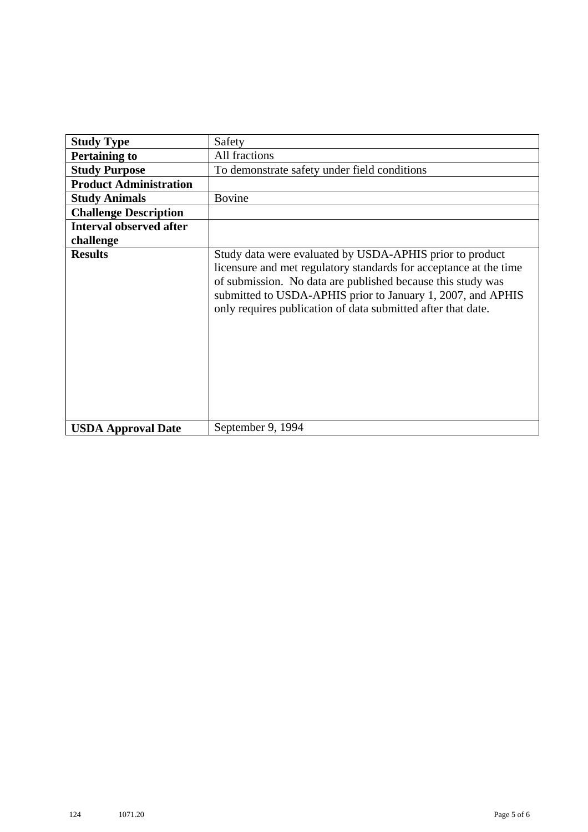| <b>Study Type</b>              | Safety                                                                                                                                                                                                                                                                                                                      |
|--------------------------------|-----------------------------------------------------------------------------------------------------------------------------------------------------------------------------------------------------------------------------------------------------------------------------------------------------------------------------|
| <b>Pertaining to</b>           | All fractions                                                                                                                                                                                                                                                                                                               |
| <b>Study Purpose</b>           | To demonstrate safety under field conditions                                                                                                                                                                                                                                                                                |
| <b>Product Administration</b>  |                                                                                                                                                                                                                                                                                                                             |
| <b>Study Animals</b>           | <b>Bovine</b>                                                                                                                                                                                                                                                                                                               |
| <b>Challenge Description</b>   |                                                                                                                                                                                                                                                                                                                             |
| <b>Interval observed after</b> |                                                                                                                                                                                                                                                                                                                             |
| challenge                      |                                                                                                                                                                                                                                                                                                                             |
| <b>Results</b>                 | Study data were evaluated by USDA-APHIS prior to product<br>licensure and met regulatory standards for acceptance at the time<br>of submission. No data are published because this study was<br>submitted to USDA-APHIS prior to January 1, 2007, and APHIS<br>only requires publication of data submitted after that date. |
| <b>USDA Approval Date</b>      | September 9, 1994                                                                                                                                                                                                                                                                                                           |